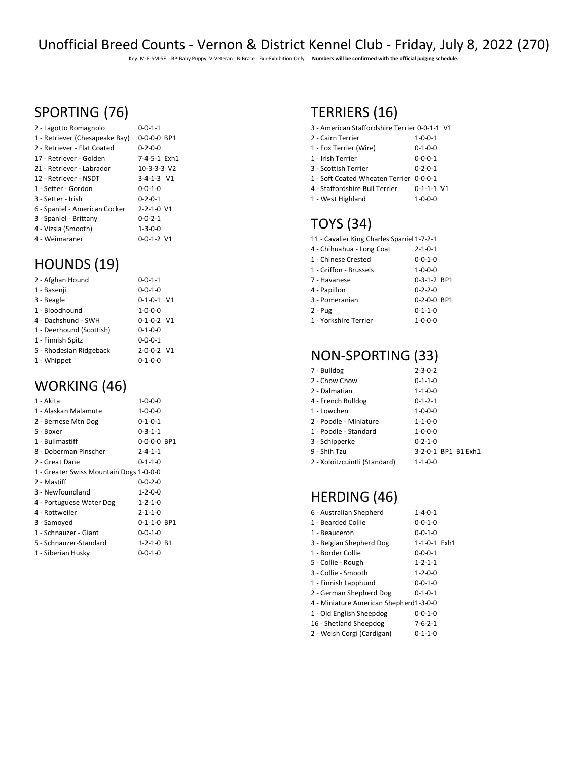# Unofficial Breed Counts - Vernon & District Kennel Club - Friday, July 8, 2022 (270)

Key: M-F-SM-SF BP-Baby Puppy V-Veteran B-Brace Exh-Exhibition Only **Numbers will be confirmed with the official judging schedule.**

# SPORTING (76)

| 2 - Lagotto Romagnolo          | $0 - 0 - 1 - 1$           |
|--------------------------------|---------------------------|
| 1 - Retriever (Chesapeake Bay) | $0 - 0 - 0 - 0$ BP1       |
| 2 - Retriever - Flat Coated    | $0 - 2 - 0 - 0$           |
| 17 - Retriever - Golden        | 7-4-5-1 Exh1              |
| 21 - Retriever - Labrador      | $10-3-3-3$ V <sub>2</sub> |
| 12 - Retriever - NSDT          | $3 - 4 - 1 - 3$ V1        |
| 1 - Setter - Gordon            | $0 - 0 - 1 - 0$           |
| 3 - Setter - Irish             | $0 - 2 - 0 - 1$           |
| 6 - Spaniel - American Cocker  | $2 - 2 - 1 - 0$ V1        |
| 3 - Spaniel - Brittany         | $0 - 0 - 2 - 1$           |
| 4 - Vizsla (Smooth)            | $1 - 3 - 0 - 0$           |
| 4 - Weimaraner                 | $0 - 0 - 1 - 2$ V1        |

#### HOUNDS (19)

| 2 - Afghan Hound         | $0 - 0 - 1 - 1$    |  |
|--------------------------|--------------------|--|
| 1 - Basenji              | $0 - 0 - 1 - 0$    |  |
| 3 - Beagle               | $0 - 1 - 0 - 1$ V1 |  |
| 1 - Bloodhound           | $1 - 0 - 0 - 0$    |  |
| 4 - Dachshund - SWH      | $0 - 1 - 0 - 2$ V1 |  |
| 1 - Deerhound (Scottish) | $0 - 1 - 0 - 0$    |  |
| 1 - Finnish Spitz        | $0 - 0 - 0 - 1$    |  |
| 5 - Rhodesian Ridgeback  | $2 - 0 - 0 - 2$ V1 |  |
| 1 - Whippet              | $0 - 1 - 0 - 0$    |  |

# WORKING (46)

| 1 - Akita                               | $1 - 0 - 0 - 0$    |  |
|-----------------------------------------|--------------------|--|
| 1 - Alaskan Malamute                    | $1 - 0 - 0 - 0$    |  |
| 2 - Bernese Mtn Dog                     | $0 - 1 - 0 - 1$    |  |
| 5 - Boxer                               | $0 - 3 - 1 - 1$    |  |
| 1 - Bullmastiff                         | 0-0-0-0 BP1        |  |
| 8 - Doberman Pinscher                   | $2 - 4 - 1 - 1$    |  |
| 2 - Great Dane                          | 0-1-1-0            |  |
| 1 - Greater Swiss Mountain Dogs 1-0-0-0 |                    |  |
| 2 - Mastiff                             | $0 - 0 - 2 - 0$    |  |
| 3 - Newfoundland                        | $1 - 2 - 0 - 0$    |  |
| 4 - Portuguese Water Dog                | $1 - 2 - 1 - 0$    |  |
| 4 - Rottweiler                          | $2 - 1 - 1 - 0$    |  |
| 3 - Samoyed                             | 0-1-1-0 BP1        |  |
| 1 - Schnauzer - Giant                   | $0 - 0 - 1 - 0$    |  |
| 5 - Schnauzer-Standard                  | $1 - 2 - 1 - 0$ B1 |  |
| 1 - Siberian Husky                      | $0 - 0 - 1 - 0$    |  |

# TERRIERS (16)

| 3 - American Staffordshire Terrier 0-0-1-1 V1 |                 |
|-----------------------------------------------|-----------------|
| 2 - Cairn Terrier                             | $1 - 0 - 0 - 1$ |
| 1 - Fox Terrier (Wire)                        | $0 - 1 - 0 - 0$ |
| 1 - Irish Terrier                             | $0 - 0 - 0 - 1$ |
| 3 - Scottish Terrier                          | $0 - 2 - 0 - 1$ |
|                                               |                 |

- 1 Soft Coated Wheaten Terrier 0-0-0-1
- 4 Staffordshire Bull Terrier 0-1-1-1 V1 - West Highland 1-0-0-0

# TOYS (34)

| 11 - Cavalier King Charles Spaniel 1-7-2-1 |  |
|--------------------------------------------|--|
|--------------------------------------------|--|

| 4 - Chihuahua - Long Coat | $2 - 1 - 0 - 1$     |
|---------------------------|---------------------|
| 1 - Chinese Crested       | $0 - 0 - 1 - 0$     |
| 1 - Griffon - Brussels    | $1 - 0 - 0 - 0$     |
| 7 - Havanese              | 0-3-1-2 BP1         |
| 4 - Papillon              | $0 - 2 - 2 - 0$     |
| 3 - Pomeranian            | $0 - 2 - 0 - 0$ BP1 |
| $2 - Pug$                 | $0 - 1 - 1 - 0$     |
| 1 - Yorkshire Terrier     | $1 - 0 - 0 - 0$     |

# NON-SPORTING (33)

| 7 - Bulldog                   | $2 - 3 - 0 - 2$     |
|-------------------------------|---------------------|
| 2 - Chow Chow                 | $0 - 1 - 1 - 0$     |
| 2 - Dalmatian                 | $1 - 1 - 0 - 0$     |
| 4 - French Bulldog            | $0 - 1 - 2 - 1$     |
| 1 - Lowchen                   | $1 - 0 - 0 - 0$     |
| 2 - Poodle - Miniature        | $1 - 1 - 0 - 0$     |
| 1 - Poodle - Standard         | $1 - 0 - 0 - 0$     |
| 3 - Schipperke                | $0 - 2 - 1 - 0$     |
| 9 - Shih Tzu                  | 3-2-0-1 BP1 B1 Exh1 |
| 2 - Xoloitzcuintli (Standard) | $1 - 1 - 0 - 0$     |
|                               |                     |

# HERDING (46)

| 6 - Australian Shepherd                | $1 - 4 - 0 - 1$ |  |
|----------------------------------------|-----------------|--|
| 1 - Bearded Collie                     | $0 - 0 - 1 - 0$ |  |
| 1 - Beauceron                          | $0 - 0 - 1 - 0$ |  |
| 3 - Belgian Shepherd Dog               | 1-1-0-1 Exh1    |  |
| 1 - Border Collie                      | $0 - 0 - 0 - 1$ |  |
| 5 - Collie - Rough                     | $1 - 2 - 1 - 1$ |  |
| 3 - Collie - Smooth                    | $1 - 2 - 0 - 0$ |  |
| 1 - Finnish Lapphund                   | $0 - 0 - 1 - 0$ |  |
| 2 - German Shepherd Dog                | $0 - 1 - 0 - 1$ |  |
| 4 - Miniature American Shepherd1-3-0-0 |                 |  |
| 1 - Old English Sheepdog               | $0 - 0 - 1 - 0$ |  |
| 16 - Shetland Sheepdog                 | $7 - 6 - 2 - 1$ |  |
| 2 - Welsh Corgi (Cardigan)             | $0 - 1 - 1 - 0$ |  |
|                                        |                 |  |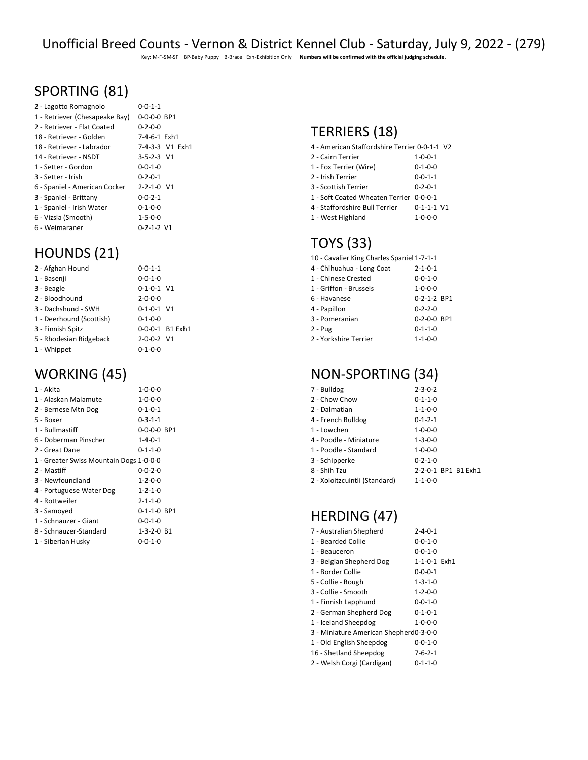Key: M-F-SM-SF BP-Baby Puppy B-Brace Exh-Exhibition Only **Numbers will be confirmed with the official judging schedule.**

# SPORTING (81)

| 2 - Lagotto Romagnolo          | $0 - 0 - 1 - 1$     |
|--------------------------------|---------------------|
| 1 - Retriever (Chesapeake Bay) | $0 - 0 - 0 - 0$ BP1 |
| 2 - Retriever - Flat Coated    | $0 - 2 - 0 - 0$     |
| 18 - Retriever - Golden        | 7-4-6-1 Exh1        |
| 18 - Retriever - Labrador      | 7-4-3-3 V1 Exh1     |
| 14 - Retriever - NSDT          | $3 - 5 - 2 - 3$ V1  |
| 1 - Setter - Gordon            | $0 - 0 - 1 - 0$     |
| 3 - Setter - Irish             | $0 - 2 - 0 - 1$     |
| 6 - Spaniel - American Cocker  | $2 - 2 - 1 - 0$ V1  |
| 3 - Spaniel - Brittany         | $0 - 0 - 2 - 1$     |
| 1 - Spaniel - Irish Water      | $0 - 1 - 0 - 0$     |
| 6 - Vizsla (Smooth)            | $1 - 5 - 0 - 0$     |
| 6 - Weimaraner                 | $0 - 2 - 1 - 2$ V1  |
|                                |                     |

# HOUNDS (21)

| 2 - Afghan Hound         | $0 - 0 - 1 - 1$    |                 |
|--------------------------|--------------------|-----------------|
| 1 - Basenji              | $0 - 0 - 1 - 0$    |                 |
| 3 - Beagle               | $0-1-0-1$ V1       |                 |
| 2 - Bloodhound           | $2 - 0 - 0 - 0$    |                 |
| 3 - Dachshund - SWH      | $0 - 1 - 0 - 1$ V1 |                 |
| 1 - Deerhound (Scottish) | $0 - 1 - 0 - 0$    |                 |
| 3 - Finnish Spitz        |                    | 0-0-0-1 B1 Exh1 |
| 5 - Rhodesian Ridgeback  | 2-0-0-2 V1         |                 |
| 1 - Whippet              | $0 - 1 - 0 - 0$    |                 |

# WORKING (45)

| 1 - Akita                               | $1 - 0 - 0 - 0$    |  |
|-----------------------------------------|--------------------|--|
| 1 - Alaskan Malamute                    | $1 - 0 - 0 - 0$    |  |
| 2 - Bernese Mtn Dog                     | $0 - 1 - 0 - 1$    |  |
| 5 - Boxer                               | $0 - 3 - 1 - 1$    |  |
| 1 - Bullmastiff                         | 0-0-0-0 BP1        |  |
| 6 - Doberman Pinscher                   | $1 - 4 - 0 - 1$    |  |
| 2 - Great Dane                          | $0 - 1 - 1 - 0$    |  |
| 1 - Greater Swiss Mountain Dogs 1-0-0-0 |                    |  |
| 2 - Mastiff                             | $0 - 0 - 2 - 0$    |  |
| 3 - Newfoundland                        | $1 - 2 - 0 - 0$    |  |
| 4 - Portuguese Water Dog                | $1 - 2 - 1 - 0$    |  |
| 4 - Rottweiler                          | $2 - 1 - 1 - 0$    |  |
| 3 - Samoyed                             | 0-1-1-0 BP1        |  |
| 1 - Schnauzer - Giant                   | $0 - 0 - 1 - 0$    |  |
| 8 - Schnauzer-Standard                  | $1 - 3 - 2 - 0$ B1 |  |
| 1 - Siberian Husky                      | $0 - 0 - 1 - 0$    |  |

# TERRIERS (18)

| 4 - American Staffordshire Terrier 0-0-1-1 V2 |                      |
|-----------------------------------------------|----------------------|
| 2 - Cairn Terrier                             | $1 - 0 - 0 - 1$      |
| 1 - Fox Terrier (Wire)                        | $0 - 1 - 0 - 0$      |
| 2 - Irish Terrier                             | $0 - 0 - 1 - 1$      |
| 3 - Scottish Terrier                          | $0 - 2 - 0 - 1$      |
| 1 - Soft Coated Wheaten Terrier 0-0-0-1       |                      |
| 4 - Staffordshire Bull Terrier                | $0 - 1 - 1 - 1$ $V1$ |
| 1 - West Highland                             | $1 - 0 - 0 - 0$      |

# TOYS (33)

| 10 - Cavalier King Charles Spaniel 1-7-1-1 |                     |  |
|--------------------------------------------|---------------------|--|
| 4 - Chihuahua - Long Coat                  | $2 - 1 - 0 - 1$     |  |
| 1 - Chinese Crested                        | $0 - 0 - 1 - 0$     |  |
| 1 - Griffon - Brussels                     | $1 - 0 - 0 - 0$     |  |
| 6 - Havanese                               | 0-2-1-2 BP1         |  |
| 4 - Papillon                               | $0 - 2 - 2 - 0$     |  |
| 3 - Pomeranian                             | $0 - 2 - 0 - 0$ BP1 |  |
| 2 - Pug                                    | $0 - 1 - 1 - 0$     |  |
| 2 - Yorkshire Terrier                      | $1 - 1 - 0 - 0$     |  |
|                                            |                     |  |

# NON-SPORTING (34)

| 7 - Bulldog                   | $2 - 3 - 0 - 2$     |
|-------------------------------|---------------------|
| 2 - Chow Chow                 | $0 - 1 - 1 - 0$     |
| 2 - Dalmatian                 | $1 - 1 - 0 - 0$     |
| 4 - French Bulldog            | $0 - 1 - 2 - 1$     |
| 1 - Lowchen                   | $1 - 0 - 0 - 0$     |
| 4 - Poodle - Miniature        | $1 - 3 - 0 - 0$     |
| 1 - Poodle - Standard         | $1 - 0 - 0 - 0$     |
| 3 - Schipperke                | $0 - 2 - 1 - 0$     |
| 8 - Shih Tzu                  | 2-2-0-1 BP1 B1 Exh1 |
| 2 - Xoloitzcuintli (Standard) | $1 - 1 - 0 - 0$     |
|                               |                     |

# HERDING (47)

| 7 - Australian Shepherd                | $2 - 4 - 0 - 1$                                                                                                                                                                                                               |  |
|----------------------------------------|-------------------------------------------------------------------------------------------------------------------------------------------------------------------------------------------------------------------------------|--|
| 1 - Bearded Collie                     | $0 - 0 - 1 - 0$<br>$0 - 0 - 1 - 0$<br>1-1-0-1 Exh1<br>$0 - 0 - 0 - 1$<br>$1 - 3 - 1 - 0$<br>$1 - 2 - 0 - 0$<br>$0 - 0 - 1 - 0$<br>$0 - 1 - 0 - 1$<br>$1 - 0 - 0 - 0$<br>$0 - 0 - 1 - 0$<br>$7 - 6 - 2 - 1$<br>$0 - 1 - 1 - 0$ |  |
| 1 - Beauceron                          |                                                                                                                                                                                                                               |  |
| 3 - Belgian Shepherd Dog               |                                                                                                                                                                                                                               |  |
| 1 - Border Collie                      |                                                                                                                                                                                                                               |  |
| 5 - Collie - Rough                     |                                                                                                                                                                                                                               |  |
| 3 - Collie - Smooth                    |                                                                                                                                                                                                                               |  |
| 1 - Finnish Lapphund                   |                                                                                                                                                                                                                               |  |
| 2 - German Shepherd Dog                |                                                                                                                                                                                                                               |  |
| 1 - Iceland Sheepdog                   |                                                                                                                                                                                                                               |  |
| 3 - Miniature American Shepherd0-3-0-0 |                                                                                                                                                                                                                               |  |
| 1 - Old English Sheepdog               |                                                                                                                                                                                                                               |  |
| 16 - Shetland Sheepdog                 |                                                                                                                                                                                                                               |  |
| 2 - Welsh Corgi (Cardigan)             |                                                                                                                                                                                                                               |  |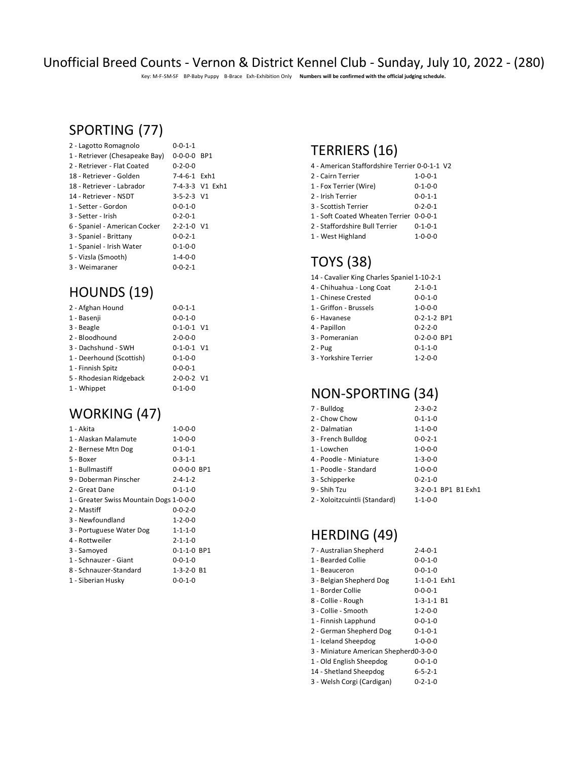#### Unofficial Breed Counts - Vernon & District Kennel Club - Sunday, July 10, 2022 - (280)

Key: M-F-SM-SF BP-Baby Puppy B-Brace Exh-Exhibition Only **Numbers will be confirmed with the official judging schedule.**

#### SPORTING (77)

| 2 - Lagotto Romagnolo          | $0 - 0 - 1 - 1$     |                 |
|--------------------------------|---------------------|-----------------|
| 1 - Retriever (Chesapeake Bay) | $0 - 0 - 0 - 0$ BP1 |                 |
| 2 - Retriever - Flat Coated    | $0 - 2 - 0 - 0$     |                 |
| 18 - Retriever - Golden        | 7-4-6-1 Exh1        |                 |
| 18 - Retriever - Labrador      |                     | 7-4-3-3 V1 Exh1 |
| 14 - Retriever - NSDT          | $3 - 5 - 2 - 3$ V1  |                 |
| 1 - Setter - Gordon            | $0 - 0 - 1 - 0$     |                 |
| 3 - Setter - Irish             | $0 - 2 - 0 - 1$     |                 |
| 6 - Spaniel - American Cocker  | $2 - 2 - 1 - 0$ V1  |                 |
| 3 - Spaniel - Brittany         | $0 - 0 - 2 - 1$     |                 |
| 1 - Spaniel - Irish Water      | $0 - 1 - 0 - 0$     |                 |
| 5 - Vizsla (Smooth)            | $1 - 4 - 0 - 0$     |                 |
| 3 - Weimaraner                 | $0 - 0 - 2 - 1$     |                 |

# HOUNDS (19)

| 2 - Afghan Hound         | $0 - 0 - 1 - 1$    |  |
|--------------------------|--------------------|--|
| 1 - Basenji              | $0 - 0 - 1 - 0$    |  |
| 3 - Beagle               | $0 - 1 - 0 - 1$ V1 |  |
| 2 - Bloodhound           | $2 - 0 - 0 - 0$    |  |
| 3 - Dachshund - SWH      | $0 - 1 - 0 - 1$ V1 |  |
| 1 - Deerhound (Scottish) | $0 - 1 - 0 - 0$    |  |
| 1 - Finnish Spitz        | $0 - 0 - 0 - 1$    |  |
| 5 - Rhodesian Ridgeback  | $2 - 0 - 0 - 2$ V1 |  |
| 1 - Whippet              | 0-1-0-0            |  |

# WORKING (47)

| 1 - Akita                               | $1 - 0 - 0 - 0$    |  |
|-----------------------------------------|--------------------|--|
| 1 - Alaskan Malamute                    | $1 - 0 - 0 - 0$    |  |
| 2 - Bernese Mtn Dog                     | $0 - 1 - 0 - 1$    |  |
| 5 - Boxer                               | 0-3-1-1            |  |
| 1 - Bullmastiff                         | 0-0-0-0 BP1        |  |
| 9 - Doberman Pinscher                   | $2 - 4 - 1 - 2$    |  |
| 2 - Great Dane                          | 0-1-1-0            |  |
| 1 - Greater Swiss Mountain Dogs 1-0-0-0 |                    |  |
| 2 - Mastiff                             | $0 - 0 - 2 - 0$    |  |
| 3 - Newfoundland                        | $1 - 2 - 0 - 0$    |  |
| 3 - Portuguese Water Dog                | $1 - 1 - 1 - 0$    |  |
| 4 - Rottweiler                          | $2 - 1 - 1 - 0$    |  |
| 3 - Samoyed                             | 0-1-1-0 BP1        |  |
| 1 - Schnauzer - Giant                   | $0 - 0 - 1 - 0$    |  |
| 8 - Schnauzer-Standard                  | $1 - 3 - 2 - 0$ B1 |  |
| 1 - Siberian Husky                      | $0 - 0 - 1 - 0$    |  |
|                                         |                    |  |

# TERRIERS (16)

| 4 - American Staffordshire Terrier 0-0-1-1 V2 |                 |  |
|-----------------------------------------------|-----------------|--|
| 2 - Cairn Terrier                             | $1 - 0 - 0 - 1$ |  |
| 1 - Fox Terrier (Wire)                        | $0 - 1 - 0 - 0$ |  |
| 2 - Irish Terrier                             | $0 - 0 - 1 - 1$ |  |
| 3 - Scottish Terrier                          | $0 - 2 - 0 - 1$ |  |
| 1 - Soft Coated Wheaten Terrier 0-0-0-1       |                 |  |
| 2 - Staffordshire Bull Terrier                | $0 - 1 - 0 - 1$ |  |
| 1 - West Highland                             | $1 - 0 - 0 - 0$ |  |

# TOYS (38)

| 14 - Cavalier King Charles Spaniel 1-10-2-1 |                     |
|---------------------------------------------|---------------------|
| 4 - Chihuahua - Long Coat                   | $2 - 1 - 0 - 1$     |
| 1 - Chinese Crested                         | $0 - 0 - 1 - 0$     |
| 1 - Griffon - Brussels                      | $1 - 0 - 0 - 0$     |
| 6 - Havanese                                | 0-2-1-2 BP1         |
| 4 - Papillon                                | $0 - 2 - 2 - 0$     |
| 3 - Pomeranian                              | $0 - 2 - 0 - 0$ BP1 |
| 2 - Pug                                     | $0 - 1 - 1 - 0$     |
| 3 - Yorkshire Terrier                       | $1 - 2 - 0 - 0$     |
|                                             |                     |

# NON-SPORTING (34)

| 7 - Bulldog                   | $2 - 3 - 0 - 2$     |
|-------------------------------|---------------------|
| 2 - Chow Chow                 | $0 - 1 - 1 - 0$     |
| 2 - Dalmatian                 | $1 - 1 - 0 - 0$     |
| 3 - French Bulldog            | $0 - 0 - 2 - 1$     |
| 1 - Lowchen                   | $1 - 0 - 0 - 0$     |
| 4 - Poodle - Miniature        | $1 - 3 - 0 - 0$     |
| 1 - Poodle - Standard         | $1 - 0 - 0 - 0$     |
| 3 - Schipperke                | $0 - 2 - 1 - 0$     |
| 9 - Shih Tzu                  | 3-2-0-1 BP1 B1 Exh1 |
| 2 - Xoloitzcuintli (Standard) | $1 - 1 - 0 - 0$     |
|                               |                     |

# HERDING (49)

| 7 - Australian Shepherd                | $2 - 4 - 0 - 1$    |  |
|----------------------------------------|--------------------|--|
| 1 - Bearded Collie                     | $0 - 0 - 1 - 0$    |  |
| 1 - Beauceron                          | $0 - 0 - 1 - 0$    |  |
| 3 - Belgian Shepherd Dog               | 1-1-0-1 Exh1       |  |
| 1 - Border Collie                      | $0 - 0 - 0 - 1$    |  |
| 8 - Collie - Rough                     | $1 - 3 - 1 - 1$ B1 |  |
| 3 - Collie - Smooth                    | $1 - 2 - 0 - 0$    |  |
| 1 - Finnish Lapphund                   | $0 - 0 - 1 - 0$    |  |
| 2 - German Shepherd Dog                | $0 - 1 - 0 - 1$    |  |
| 1 - Iceland Sheepdog                   | $1 - 0 - 0 - 0$    |  |
| 3 - Miniature American Shepherd0-3-0-0 |                    |  |
| 1 - Old English Sheepdog               | $0 - 0 - 1 - 0$    |  |
| 14 - Shetland Sheepdog                 | $6 - 5 - 2 - 1$    |  |
| 3 - Welsh Corgi (Cardigan)             | $0 - 2 - 1 - 0$    |  |